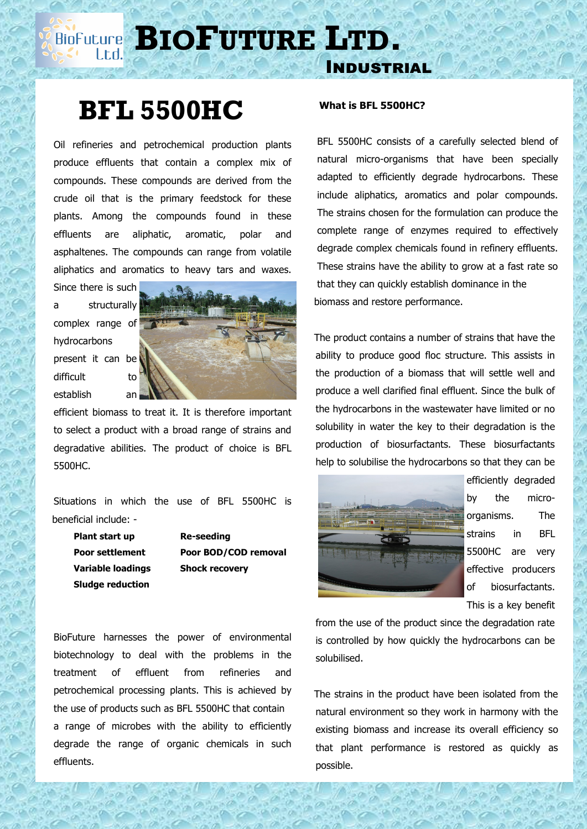**BIOPUTURE** LTD.

## **BFL 5500HC**

 Oil refineries and petrochemical production plants produce effluents that contain a complex mix of compounds. These compounds are derived from the crude oil that is the primary feedstock for these plants. Among the compounds found in these effluents are aliphatic, aromatic, polar and asphaltenes. The compounds can range from volatile aliphatics and aromatics to heavy tars and waxes.

Since there is such a structurally complex range of hydrocarbons present it can be difficult to establish an



efficient biomass to treat it. It is therefore important to select a product with a broad range of strains and degradative abilities. The product of choice is BFL 5500HC.

 Situations in which the use of BFL 5500HC is beneficial include: -

**Plant start up Re-seeding Sludge reduction**

**Poor settlement Poor BOD/COD removal Variable loadings Shock recovery**

 BioFuture harnesses the power of environmental biotechnology to deal with the problems in the treatment of effluent from refineries and petrochemical processing plants. This is achieved by the use of products such as BFL 5500HC that contain a range of microbes with the ability to efficiently degrade the range of organic chemicals in such effluents.

## **What is BFL 5500HC?**

Industrial

 BFL 5500HC consists of a carefully selected blend of natural micro-organisms that have been specially adapted to efficiently degrade hydrocarbons. These include aliphatics, aromatics and polar compounds. The strains chosen for the formulation can produce the complete range of enzymes required to effectively degrade complex chemicals found in refinery effluents. These strains have the ability to grow at a fast rate so that they can quickly establish dominance in the biomass and restore performance.

 The product contains a number of strains that have the ability to produce good floc structure. This assists in the production of a biomass that will settle well and produce a well clarified final effluent. Since the bulk of the hydrocarbons in the wastewater have limited or no solubility in water the key to their degradation is the production of biosurfactants. These biosurfactants help to solubilise the hydrocarbons so that they can be



efficiently degraded by the microorganisms. The strains in BFL 5500HC are very effective producers of biosurfactants. This is a key benefit

from the use of the product since the degradation rate is controlled by how quickly the hydrocarbons can be solubilised.

 The strains in the product have been isolated from the natural environment so they work in harmony with the existing biomass and increase its overall efficiency so that plant performance is restored as quickly as possible.